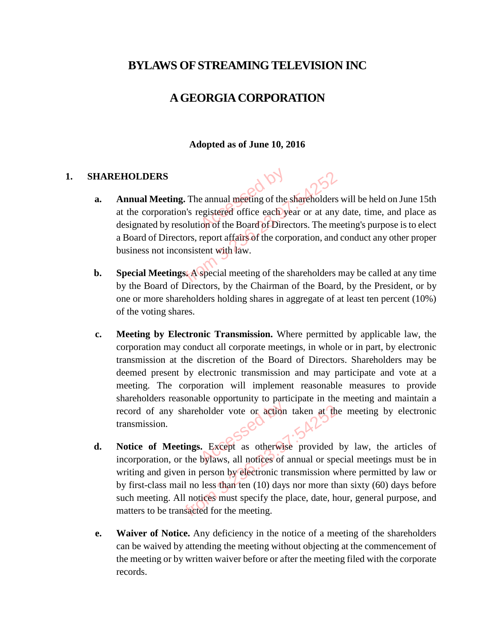# **BYLAWS OF STREAMING TELEVISION INC**

# **A GEORGIA CORPORATION**

#### **Adopted as of June 10, 2016**

#### **1. SHAREHOLDERS**

- **a. Annual Meeting.** The annual meeting of the shareholders will be held on June 15th at the corporation's registered office each year or at any date, time, and place as designated by resolution of the Board of Directors. The meeting's purpose is to elect a Board of Directors, report affairs of the corporation, and conduct any other proper business not inconsistent with law. e annual meeting of the<br>egistered office each ye RS<br> **Seeting.** The annual meeting of the shareholders<br>
boration's registered office each year or at any<br>
by resolution of the Board of Directors. The me<br>
Directors, report affairs of the corporation, and<br>
ot inconsistent w
- **b. Special Meetings.** A special meeting of the shareholders may be called at any time by the Board of Directors, by the Chairman of the Board, by the President, or by one or more shareholders holding shares in aggregate of at least ten percent (10%) of the voting shares.
- **c. Meeting by Electronic Transmission.** Where permitted by applicable law, the corporation may conduct all corporate meetings, in whole or in part, by electronic transmission at the discretion of the Board of Directors. Shareholders may be deemed present by electronic transmission and may participate and vote at a meeting. The corporation will implement reasonable measures to provide shareholders reasonable opportunity to participate in the meeting and maintain a record of any shareholder vote or action taken at the meeting by electronic transmission. holder vote or action<br>
... Except as otherwise<br>
bylaws, all notices of a
- **d. Notice of Meetings.** Except as otherwise provided by law, the articles of incorporation, or the bylaws, all notices of annual or special meetings must be in writing and given in person by electronic transmission where permitted by law or by first-class mail no less than ten (10) days nor more than sixty (60) days before such meeting. All notices must specify the place, date, hour, general purpose, and matters to be transacted for the meeting. any shareholder vote or action taken at the<br>on.<br>**Meetings.** Except as otherwise provided<br>ion, or the bylaws, all notices of annual or spe<br>d given in person by electronic transmission w<br>ass mail no less than ten (10) days n
- **e. Waiver of Notice.** Any deficiency in the notice of a meeting of the shareholders can be waived by attending the meeting without objecting at the commencement of the meeting or by written waiver before or after the meeting filed with the corporate records.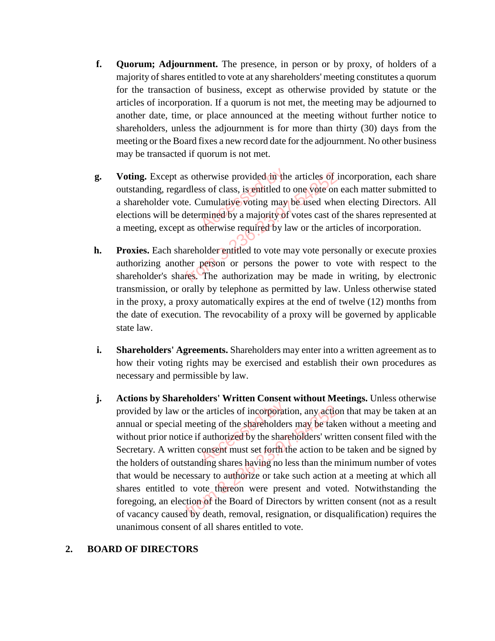- **f. Quorum; Adjournment.** The presence, in person or by proxy, of holders of a majority of shares entitled to vote at any shareholders' meeting constitutes a quorum for the transaction of business, except as otherwise provided by statute or the articles of incorporation. If a quorum is not met, the meeting may be adjourned to another date, time, or place announced at the meeting without further notice to shareholders, unless the adjournment is for more than thirty (30) days from the meeting or the Board fixes a new record date for the adjournment. No other business may be transacted if quorum is not met.
- **g. Voting.** Except as otherwise provided in the articles of incorporation, each share outstanding, regardless of class, is entitled to one vote on each matter submitted to a shareholder vote. Cumulative voting may be used when electing Directors. All elections will be determined by a majority of votes cast of the shares represented at a meeting, except as otherwise required by law or the articles of incorporation. herwise provided in the<br>ss of class, is entitled to<br>cumulative voting may<br>rmined by a majority of<br>otherwise required by la
- **h. Proxies.** Each shareholder entitled to vote may vote personally or execute proxies authorizing another person or persons the power to vote with respect to the shareholder's shares. The authorization may be made in writing, by electronic transmission, or orally by telephone as permitted by law. Unless otherwise stated in the proxy, a proxy automatically expires at the end of twelve (12) months from the date of execution. The revocability of a proxy will be governed by applicable state law. xcept as otherwise provided in the articles of i<br>g, regardless of class, is entitled to one vote on<br>der vote. Cumulative voting may be used whe<br>will be determined by a majority of votes cast of<br>except as otherwise required
- **i.** Shareholders' Agreements. Shareholders may enter into a written agreement as to how their voting rights may be exercised and establish their own procedures as necessary and permissible by law.
- **j. Actions by Shareholders' Written Consent without Meetings.** Unless otherwise provided by law or the articles of incorporation, any action that may be taken at an annual or special meeting of the shareholders may be taken without a meeting and without prior notice if authorized by the shareholders' written consent filed with the Secretary. A written consent must set forth the action to be taken and be signed by the holders of outstanding shares having no less than the minimum number of votes that would be necessary to authorize or take such action at a meeting at which all shares entitled to vote thereon were present and voted. Notwithstanding the foregoing, an election of the Board of Directors by written consent (not as a result of vacancy caused by death, removal, resignation, or disqualification) requires the unanimous consent of all shares entitled to vote. e articles of incorporation<br>ting of the shareholder:<br>Fauthorized by the share<br>consent must set forth the<br>ding shares having no le by law or the articles of incorporation, any actic<br>special meeting of the shareholders may be tak<br>ior notice if authorized by the shareholders' wri<br>A written consent must set forth the action to b<br>s of outstanding shares h

#### **2. BOARD OF DIRECTORS**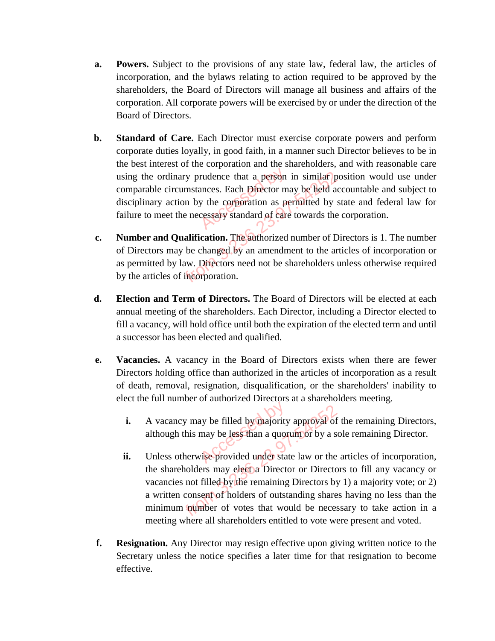- **a. Powers.** Subject to the provisions of any state law, federal law, the articles of incorporation, and the bylaws relating to action required to be approved by the shareholders, the Board of Directors will manage all business and affairs of the corporation. All corporate powers will be exercised by or under the direction of the Board of Directors.
- **b. Standard of Care.** Each Director must exercise corporate powers and perform corporate duties loyally, in good faith, in a manner such Director believes to be in the best interest of the corporation and the shareholders, and with reasonable care using the ordinary prudence that a person in similar position would use under comparable circumstances. Each Director may be held accountable and subject to disciplinary action by the corporation as permitted by state and federal law for failure to meet the necessary standard of care towards the corporation. rudence that a person<br>ances. Each Director m<br>y the corporation as persons of care ordinary prudence that a person in similar pole circumstances. Each Director may be field acty action by the corporation as permitted by smeet the necessary standard of care towards the **and Qualification**. The authorized
- **c. Number and Qualification.** The authorized number of Directors is 1. The number of Directors may be changed by an amendment to the articles of incorporation or as permitted by law. Directors need not be shareholders unless otherwise required by the articles of incorporation.
- **d. Election and Term of Directors.** The Board of Directors will be elected at each annual meeting of the shareholders. Each Director, including a Director elected to fill a vacancy, will hold office until both the expiration of the elected term and until a successor has been elected and qualified.
- **e. Vacancies.** A vacancy in the Board of Directors exists when there are fewer Directors holding office than authorized in the articles of incorporation as a result of death, removal, resignation, disqualification, or the shareholders' inability to elect the full number of authorized Directors at a shareholders meeting.
	- **i.** A vacancy may be filled by majority approval of the remaining Directors, although this may be less than a quorum or by a sole remaining Director. Access<br>Accessible by majority<br>Accessible by majority<br>Accessible by the provided under state
	- **ii.** Unless otherwise provided under state law or the articles of incorporation, the shareholders may elect a Director or Directors to fill any vacancy or vacancies not filled by the remaining Directors by 1) a majority vote; or 2) a written consent of holders of outstanding shares having no less than the minimum number of votes that would be necessary to take action in a meeting where all shareholders entitled to vote were present and voted. vacancy may be filled by majority approval of<br>hough this may be less than a quorum or by a s<br>less otherwise provided under state law or the<br>exhausted by the remaining Directors by<br>viriten consent of holders of outstanding
- **f. Resignation.** Any Director may resign effective upon giving written notice to the Secretary unless the notice specifies a later time for that resignation to become effective.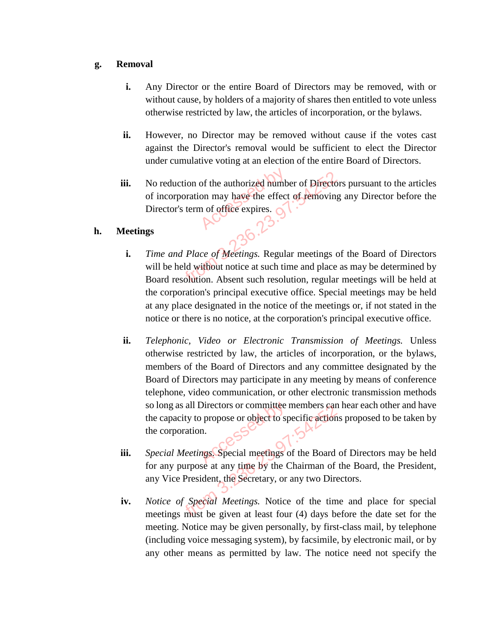#### **g. Removal**

- **i.** Any Director or the entire Board of Directors may be removed, with or without cause, by holders of a majority of shares then entitled to vote unless otherwise restricted by law, the articles of incorporation, or the bylaws.
- **ii.** However, no Director may be removed without cause if the votes cast against the Director's removal would be sufficient to elect the Director under cumulative voting at an election of the entire Board of Directors.
- **iii.** No reduction of the authorized number of Directors pursuant to the articles of incorporation may have the effect of removing any Director before the Director's term of office expires. of the authorized humb<br>on may have the effect<br>in of office expires.

## **h. Meetings**

- **i.** *Time and Place of Meetings.* Regular meetings of the Board of Directors will be held without notice at such time and place as may be determined by Board resolution. Absent such resolution, regular meetings will be held at the corporation's principal executive office. Special meetings may be held at any place designated in the notice of the meetings or, if not stated in the notice or there is no notice, at the corporation's principal executive office. reduction of the authorized number of Director<br>incorporation may have the effect of removing<br>rector's term of office expires.<br><br>The effect of removing<br>the expires.<br><br>Property of the explana meetings of<br>and Place of Meetings.
- **ii.** *Telephonic, Video or Electronic Transmission of Meetings.* Unless otherwise restricted by law, the articles of incorporation, or the bylaws, members of the Board of Directors and any committee designated by the Board of Directors may participate in any meeting by means of conference telephone, video communication, or other electronic transmission methods so long as all Directors or committee members can hear each other and have the capacity to propose or object to specific actions proposed to be taken by the corporation. II. Special Meetings. Special meetings of the Board of Directors may be held
- for any purpose at any time by the Chairman of the Board, the President, any Vice President, the Secretary, or any two Directors.
- **iv.** *Notice of Special Meetings.* Notice of the time and place for special meetings must be given at least four (4) days before the date set for the meeting. Notice may be given personally, by first-class mail, by telephone (including voice messaging system), by facsimile, by electronic mail, or by any other means as permitted by law. The notice need not specify the From 3.236.23.97 and the second test of Specific action<br>
From 3.236.23.97: corporation.<br>
From 3.236.23.97: corporation.<br>
From 3.23.97: corporation.<br>
The Secretary of the Board<br>
The Secretary of any two Direction of the sec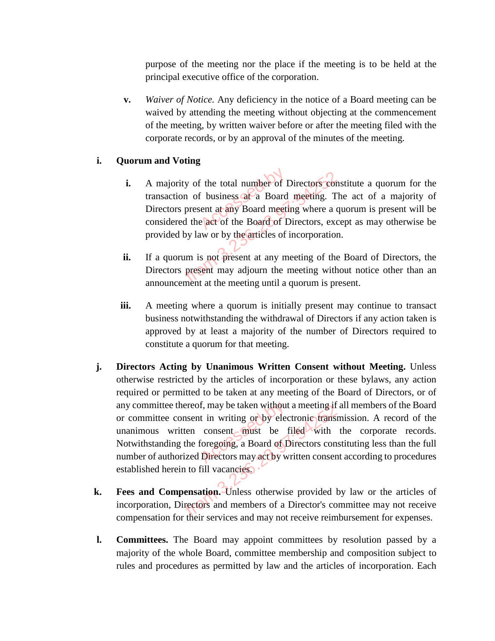purpose of the meeting nor the place if the meeting is to be held at the principal executive office of the corporation.

**v.** *Waiver of Notice.* Any deficiency in the notice of a Board meeting can be waived by attending the meeting without objecting at the commencement of the meeting, by written waiver before or after the meeting filed with the corporate records, or by an approval of the minutes of the meeting.

## **i. Quorum and Voting**

- **i.** A majority of the total number of Directors constitute a quorum for the transaction of business at a Board meeting. The act of a majority of Directors present at any Board meeting where a quorum is present will be considered the act of the Board of Directors, except as may otherwise be provided by law or by the articles of incorporation. majority of the total number of Directors contains action of business at a Board meeting. Therefore present at any Board meeting where a quarticle of the Board of Directors, exceptively law or by the articles of incorporat
- **ii.** If a quorum is not present at any meeting of the Board of Directors, the Directors present may adjourn the meeting without notice other than an announcement at the meeting until a quorum is present.
- **iii.** A meeting where a quorum is initially present may continue to transact business notwithstanding the withdrawal of Directors if any action taken is approved by at least a majority of the number of Directors required to constitute a quorum for that meeting.
- **j. Directors Acting by Unanimous Written Consent without Meeting.** Unless otherwise restricted by the articles of incorporation or these bylaws, any action required or permitted to be taken at any meeting of the Board of Directors, or of any committee thereof, may be taken without a meeting if all members of the Board or committee consent in writing or by electronic transmission. A record of the unanimous written consent must be filed with the corporate records. Notwithstanding the foregoing, a Board of Directors constituting less than the full number of authorized Directors may act by written consent according to procedures established herein to fill vacancies. f, may be taken without<br>t in writing or by elec<br>consent must be<br>foregoing, a Board of D<br>Directors may act by w The Board may appoint committees been also the Roard may appoint the ST and the Board of Directors containing the foregoing, a Board of Directors contain anding the foregoing, a Board of Directors contain and herein to fil
- **k. Fees and Compensation.** Unless otherwise provided by law or the articles of incorporation, Directors and members of a Director's committee may not receive compensation for their services and may not receive reimbursement for expenses.
- **l. Committees.** The Board may appoint committees by resolution passed by a majority of the whole Board, committee membership and composition subject to rules and procedures as permitted by law and the articles of incorporation. Each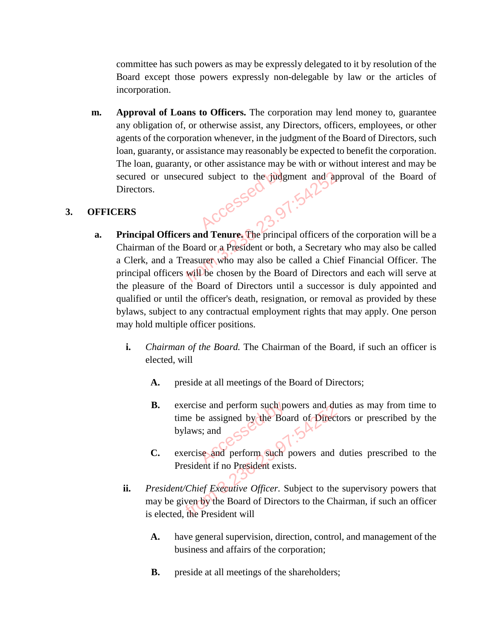committee has such powers as may be expressly delegated to it by resolution of the Board except those powers expressly non-delegable by law or the articles of incorporation.

**m. Approval of Loans to Officers.** The corporation may lend money to, guarantee any obligation of, or otherwise assist, any Directors, officers, employees, or other agents of the corporation whenever, in the judgment of the Board of Directors, such loan, guaranty, or assistance may reasonably be expected to benefit the corporation. The loan, guaranty, or other assistance may be with or without interest and may be secured or unsecured subject to the judgment and approval of the Board of Directors.

#### **3. OFFICERS**

- **a. Principal Officers and Tenure.** The principal officers of the corporation will be a Chairman of the Board or a President or both, a Secretary who may also be called a Clerk, and a Treasurer who may also be called a Chief Financial Officer. The principal officers will be chosen by the Board of Directors and each will serve at the pleasure of the Board of Directors until a successor is duly appointed and qualified or until the officer's death, resignation, or removal as provided by these bylaws, subject to any contractual employment rights that may apply. One person may hold multiple officer positions. The unsecured subject to the judgment and approximate and the subject to the judgment and approximate of the Board or a President or both, a Secretary and a Treasurer who may also be called a Chiefficers will be chosen by
	- **i.** *Chairman of the Board.* The Chairman of the Board, if such an officer is elected, will
		- **A.** preside at all meetings of the Board of Directors;
		- **B.** exercise and perform such powers and duties as may from time to time be assigned by the Board of Directors or prescribed by the bylaws; and **B.** exercise and perform such powers and duties as may from time to time be assigned by the Board of Directors or prescribed by the bylaws; and contract to the exercise and perform such powers and duties prescribed to the
		- President if no President exists.
	- **ii.** *President/Chief Executive Officer.* Subject to the supervisory powers that may be given by the Board of Directors to the Chairman, if such an officer is elected, the President will Exercise and perform such powers and du<br>time be assigned by the Board of Direct<br>bylaws; and<br>exercise and perform such powers and<br>President if no President exists.<br>esident/Chief Executive Officer. Subject to the<br>exident/Chi
		- **A.** have general supervision, direction, control, and management of the business and affairs of the corporation;
		- **B.** preside at all meetings of the shareholders;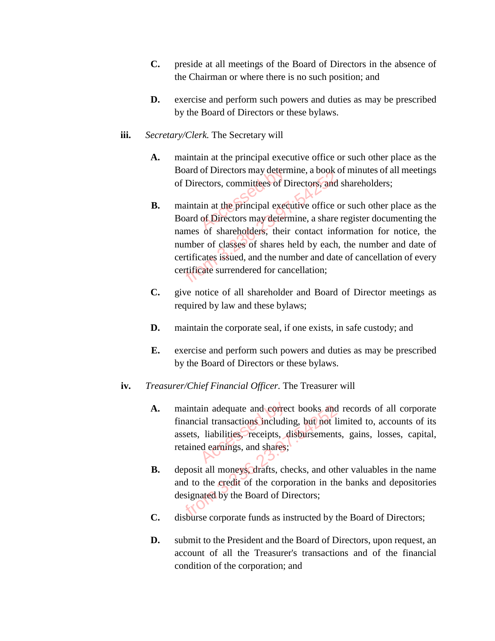- **C.** preside at all meetings of the Board of Directors in the absence of the Chairman or where there is no such position; and
- **D.** exercise and perform such powers and duties as may be prescribed by the Board of Directors or these bylaws.
- **iii.** *Secretary/Clerk.* The Secretary will
	- **A.** maintain at the principal executive office or such other place as the Board of Directors may determine, a book of minutes of all meetings of Directors, committees of Directors, and shareholders;
	- **B.** maintain at the principal executive office or such other place as the Board of Directors may determine, a share register documenting the names of shareholders, their contact information for notice, the number of classes of shares held by each, the number and date of certificates issued, and the number and date of cancellation of every certificate surrendered for cancellation; of Directors may detern<br>ectors, committees of D<br>in at the principal exectors may detern From 3.236.23.97. Solar of Directors, committees of Directors, and<br>the Solar of Directors, committees of Directors, and<br>the Soard of Directors may determine, a share<br>names of shareholders, their contact info<br>number of clas
	- **C.** give notice of all shareholder and Board of Director meetings as required by law and these bylaws;
	- **D.** maintain the corporate seal, if one exists, in safe custody; and
	- **E.** exercise and perform such powers and duties as may be prescribed by the Board of Directors or these bylaws.
- **iv.** *Treasurer/Chief Financial Officer.* The Treasurer will
	- A. maintain adequate and correct books and records of all corporate financial transactions including, but not limited to, accounts of its assets, liabilities, receipts, disbursements, gains, losses, capital, retained earnings, and shares; in adequate and correctial transactions including<br>liabilities, receipts, c<br>ed earnings, and shares; maintain adequate and correct books and<br>financial transactions including, but not 1<br>assets, liabilities, receipts, disbursement<br>retained earnings, and shares;<br>3. deposit all moneys drafts, checks, and ot<br>and to the credit
	- **B.** deposit all moneys, drafts, checks, and other valuables in the name and to the credit of the corporation in the banks and depositories designated by the Board of Directors;
	- **C.** disburse corporate funds as instructed by the Board of Directors;
	- **D.** submit to the President and the Board of Directors, upon request, an account of all the Treasurer's transactions and of the financial condition of the corporation; and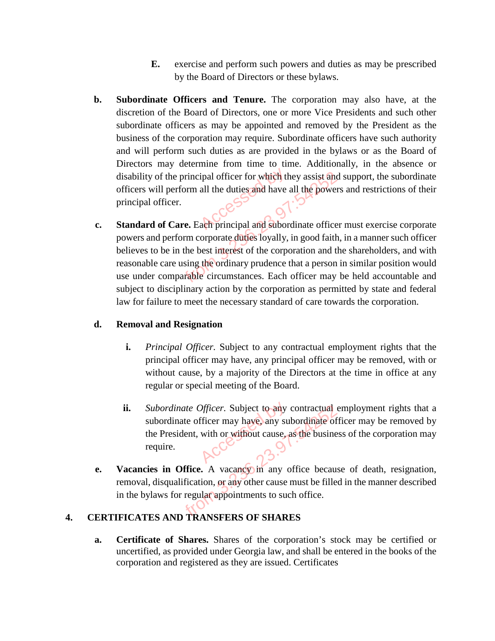- **E.** exercise and perform such powers and duties as may be prescribed by the Board of Directors or these bylaws.
- **b. Subordinate Officers and Tenure.** The corporation may also have, at the discretion of the Board of Directors, one or more Vice Presidents and such other subordinate officers as may be appointed and removed by the President as the business of the corporation may require. Subordinate officers have such authority and will perform such duties as are provided in the bylaws or as the Board of Directors may determine from time to time. Additionally, in the absence or disability of the principal officer for which they assist and support, the subordinate officers will perform all the duties and have all the powers and restrictions of their principal officer.<br>Standard of Care. Each princi officers will perform all the duties and have all the powers and restrictions of their principal officer.
- **c. Standard of Care.** Each principal and subordinate officer must exercise corporate powers and perform corporate duties loyally, in good faith, in a manner such officer believes to be in the best interest of the corporation and the shareholders, and with reasonable care using the ordinary prudence that a person in similar position would use under comparable circumstances. Each officer may be held accountable and subject to disciplinary action by the corporation as permitted by state and federal law for failure to meet the necessary standard of care towards the corporation. of the principal officer for which they assist and<br>ill perform all the duties and have all the power<br>officer.<br>of Care. Each principal and subordinate officer<br>d perform corporate duties loyally, in good faith<br> $\alpha$  be in the

### **d. Removal and Resignation**

- **i.** *Principal Officer.* Subject to any contractual employment rights that the principal officer may have, any principal officer may be removed, with or without cause, by a majority of the Directors at the time in office at any regular or special meeting of the Board.
- **ii.** *Subordinate Officer.* Subject to any contractual employment rights that a subordinate officer may have, any subordinate officer may be removed by the President, with or without cause, as the business of the corporation may require. Officer. Subject to any surficer may have any surficer may have any surficient cause. bordinate Officer. Subject to any contractual of<br>pordinate officer may have, any subordinate of<br>experience of the busine<br>quire.<br>**S** in Office. A vacancy in any office becaus<br>lisqualification, or any other cause must be fil
- **e. Vacancies in Office.** A vacancy in any office because of death, resignation, removal, disqualification, or any other cause must be filled in the manner described in the bylaws for regular appointments to such office.

## **4. CERTIFICATES AND TRANSFERS OF SHARES**

**a. Certificate of Shares.** Shares of the corporation's stock may be certified or uncertified, as provided under Georgia law, and shall be entered in the books of the corporation and registered as they are issued. Certificates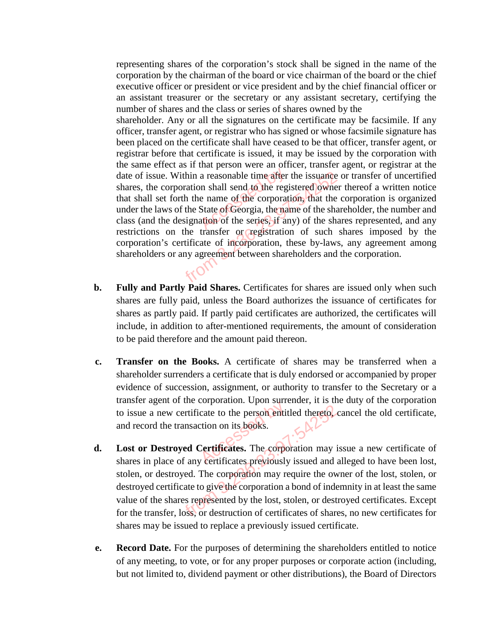representing shares of the corporation's stock shall be signed in the name of the corporation by the chairman of the board or vice chairman of the board or the chief executive officer or president or vice president and by the chief financial officer or an assistant treasurer or the secretary or any assistant secretary, certifying the number of shares and the class or series of shares owned by the

shareholder. Any or all the signatures on the certificate may be facsimile. If any officer, transfer agent, or registrar who has signed or whose facsimile signature has been placed on the certificate shall have ceased to be that officer, transfer agent, or registrar before that certificate is issued, it may be issued by the corporation with the same effect as if that person were an officer, transfer agent, or registrar at the date of issue. Within a reasonable time after the issuance or transfer of uncertified shares, the corporation shall send to the registered owner thereof a written notice that shall set forth the name of the corporation, th shares, the corporation shall send to the registered owner thereof a written notice that shall set forth the name of the corporation, that the corporation is organized under the laws of the State of Georgia, the name of the shareholder, the number and class (and the designation of the series, if any) of the shares represented, and any restrictions on the transfer or registration of such shares imposed by the corporation's certificate of incorporation, these by-laws, any agreement among shareholders or any agreement between shareholders and the corporation. ince. Within a reasonable time after the issuance<br>
corporation shall send to the registered owner<br>
set forth the name of the corporation, that the<br>
laws of the State of Georgia, the name of the sha<br>
the designation of the

- **b. Fully and Partly Paid Shares.** Certificates for shares are issued only when such shares are fully paid, unless the Board authorizes the issuance of certificates for shares as partly paid. If partly paid certificates are authorized, the certificates will include, in addition to after-mentioned requirements, the amount of consideration to be paid therefore and the amount paid thereon.
- **c. Transfer on the Books.** A certificate of shares may be transferred when a shareholder surrenders a certificate that is duly endorsed or accompanied by proper evidence of succession, assignment, or authority to transfer to the Secretary or a transfer agent of the corporation. Upon surrender, it is the duty of the corporation to issue a new certificate to the person entitled thereto, cancel the old certificate, and record the transaction on its books. cate to the person entit<br>cate to the person entit<br>ction on its books.<br>Certificates. The corpo
- **d. Lost or Destroyed Certificates.** The corporation may issue a new certificate of shares in place of any certificates previously issued and alleged to have been lost, stolen, or destroyed. The corporation may require the owner of the lost, stolen, or destroyed certificate to give the corporation a bond of indemnity in at least the same value of the shares represented by the lost, stolen, or destroyed certificates. Except for the transfer, loss, or destruction of certificates of shares, no new certificates for shares may be issued to replace a previously issued certificate. The transaction on its books.<br>
The transaction on its books.<br> **Exercise Community Constrainers** is the corporation may is<br>
blace of any certificates. The corporation may is<br>
destroyed. The corporation may require the ow<br>
c
- **e. Record Date.** For the purposes of determining the shareholders entitled to notice of any meeting, to vote, or for any proper purposes or corporate action (including, but not limited to, dividend payment or other distributions), the Board of Directors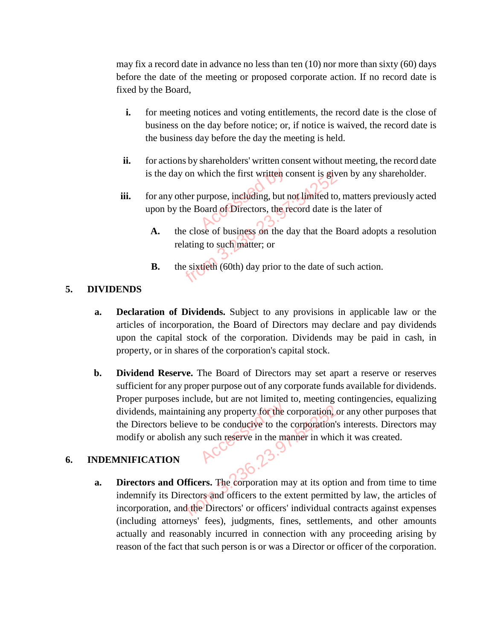may fix a record date in advance no less than ten (10) nor more than sixty (60) days before the date of the meeting or proposed corporate action. If no record date is fixed by the Board,

- **i.** for meeting notices and voting entitlements, the record date is the close of business on the day before notice; or, if notice is waived, the record date is the business day before the day the meeting is held.
- **ii.** for actions by shareholders' written consent without meeting, the record date
- is the day on which the first written consent is given by any shareholder.<br>
for any other purpose, including, but not limited to, matters previously act<br>
upon by the Board of Directors, the record date is the later of **iii.** for any other purpose, including, but not limited to, matters previously acted upon by the Board of Directors, the record date is the later of
	- **A.** the close of business on the day that the Board adopts a resolution relating to such matter; or the day on which the first written consent is given<br>the day on which the first written consent is given<br>the space of Directors, the record date is<br>the close of business on the day that the B<br>relating to such matter; or<br>the
	- **B.** the sixtieth (60th) day prior to the date of such action.

## **5. DIVIDENDS**

- **a. Declaration of Dividends.** Subject to any provisions in applicable law or the articles of incorporation, the Board of Directors may declare and pay dividends upon the capital stock of the corporation. Dividends may be paid in cash, in property, or in shares of the corporation's capital stock.
- **b. Dividend Reserve.** The Board of Directors may set apart a reserve or reserves sufficient for any proper purpose out of any corporate funds available for dividends. Proper purposes include, but are not limited to, meeting contingencies, equalizing dividends, maintaining any property for the corporation, or any other purposes that the Directors believe to be conducive to the corporation's interests. Directors may modify or abolish any such reserve in the manner in which it was created.  $\frac{1}{2}$  any property for the c<br>to be conductive to the

### **6. INDEMNIFICATION**

**a. Directors and Officers.** The corporation may at its option and from time to time indemnify its Directors and officers to the extent permitted by law, the articles of incorporation, and the Directors' or officers' individual contracts against expenses (including attorneys' fees), judgments, fines, settlements, and other amounts actually and reasonably incurred in connection with any proceeding arising by reason of the fact that such person is or was a Director or officer of the corporation. maintaining any property for the corporation, ors believe to be conducive to the corporation's<br>abolish any such reserve in the manner in which<br>**TION**<br>and Officers. The corporation may at its opti<br>its Directors and officers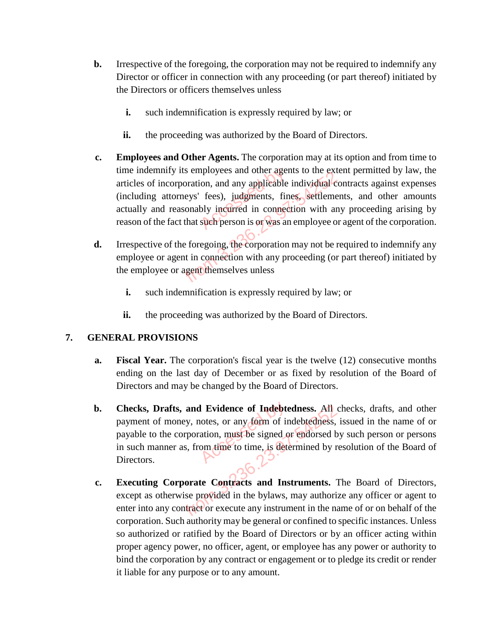- **b.** Irrespective of the foregoing, the corporation may not be required to indemnify any Director or officer in connection with any proceeding (or part thereof) initiated by the Directors or officers themselves unless
	- **i.** such indemnification is expressly required by law; or
	- ii. the proceeding was authorized by the Board of Directors.
- **c. Employees and Other Agents.** The corporation may at its option and from time to time indemnify its employees and other agents to the extent permitted by law, the articles of incorporation, and any applicable individual contracts against expenses (including attorneys' fees), judgments, fines, settlements, and other amounts actually and reasonably incurred in connection with any proceeding arising by reason of the fact that such person is or was an employee or agent of the corporation. apployees and other agention, and any applicable<br>fees), judgments, fin<br>bly incurred in connect<br>such person is or was an miny its employees and other agents to the extra incorporation, and any applicable individual control attorneys' fees), judgments, fines, settlement reasonably incurred in connection with an the fact that such person is or
- **d.** Irrespective of the foregoing, the corporation may not be required to indemnify any employee or agent in connection with any proceeding (or part thereof) initiated by the employee or agent themselves unless
	- **i.** such indemnification is expressly required by law; or
	- **ii.** the proceeding was authorized by the Board of Directors.

#### **7. GENERAL PROVISIONS**

- **a. Fiscal Year.** The corporation's fiscal year is the twelve (12) consecutive months ending on the last day of December or as fixed by resolution of the Board of Directors and may be changed by the Board of Directors.
- **b. Checks, Drafts, and Evidence of Indebtedness.** All checks, drafts, and other payment of money, notes, or any form of indebtedness, issued in the name of or payable to the corporation, must be signed or endorsed by such person or persons in such manner as, from time to time, is determined by resolution of the Board of Directors. **Evidence of Indebte**<br>notes, or any form of ir<br>ation, must be signed on<br>om time to time, is deter
- **c. Executing Corporate Contracts and Instruments.** The Board of Directors, except as otherwise provided in the bylaws, may authorize any officer or agent to enter into any contract or execute any instrument in the name of or on behalf of the corporation. Such authority may be general or confined to specific instances. Unless so authorized or ratified by the Board of Directors or by an officer acting within proper agency power, no officer, agent, or employee has any power or authority to bind the corporation by any contract or engagement or to pledge its credit or render it liable for any purpose or to any amount. Trafts, and Evidence of Indebtedness. All<br>of money, notes, or any form of indebtedness,<br>the corporation, must be signed or endorsed b<br>anner as, from time to time, is determined by r<br>anner as, from time to time, is determin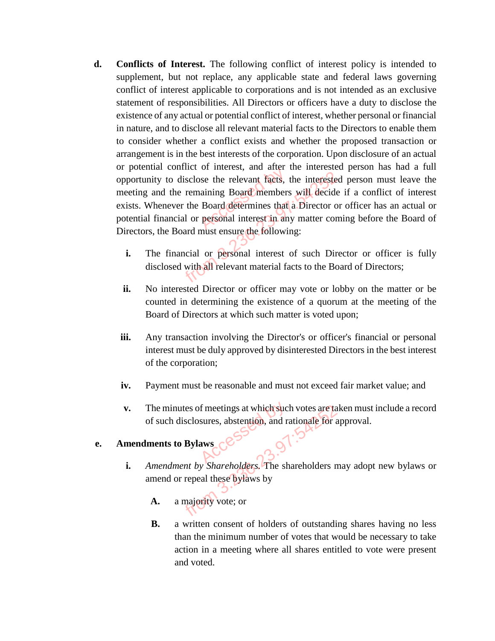- **d. Conflicts of Interest.** The following conflict of interest policy is intended to supplement, but not replace, any applicable state and federal laws governing conflict of interest applicable to corporations and is not intended as an exclusive statement of responsibilities. All Directors or officers have a duty to disclose the existence of any actual or potential conflict of interest, whether personal or financial in nature, and to disclose all relevant material facts to the Directors to enable them to consider whether a conflict exists and whether the proposed transaction or arrangement is in the best interests of the corporation. Upon disclosure of an actual or potential conflict of interest, and after the interested person has had a full opportunity to disclose the relevant facts, the interested person must leave the meeting and the remaining Board members will decide if a conflict of interest exists. Whenever the Board determines that a Director or officer has an actual or potential financial or personal interest in any matter coming before the Board of Directors, the Board must ensure the following: or merest, and articles<br>see the relevant facts,<br>Board determines that<br>personal interest in an The interest of such a the remaining Board members will decide<br>the remaining Board members will decide<br>thenever the Board determines that a Director of<br>inancial or personal interest in any matter con<br>the Board must ensure
	- **i.** The financial or personal interest of such Director or officer is fully disclosed with all relevant material facts to the Board of Directors;
	- **ii.** No interested Director or officer may vote or lobby on the matter or be counted in determining the existence of a quorum at the meeting of the Board of Directors at which such matter is voted upon;
	- **iii.** Any transaction involving the Director's or officer's financial or personal interest must be duly approved by disinterested Directors in the best interest of the corporation;
	- **iv.** Payment must be reasonable and must not exceed fair market value; and
	- **v.** The minutes of meetings at which such votes are taken must include a record of such disclosures, abstention, and rationale for approval.<br> **mendments to Bylaws** of such disclosures, abstention, and rationale for approval.

## **e. Amendments to Bylaws**

- **i.** *Amendment by Shareholders.* The shareholders may adopt new bylaws or amend or repeal these bylaws by
	- **A.** a majority vote; or
- **B.** a written consent of holders of outstanding shares having no less than the minimum number of votes that would be necessary to take action in a meeting where all shares entitled to vote were present and voted. From 3.236.23.97:542.97:542.97:542.97:542.97:542.97:542.97:542.97:542.97:542.97:542.97:542.97:542.97:542.97:542.97:542.97:542.97:542.97:542.97:542.97:542.97:542.97:542.97:542.97:542.97:542.97:542.97:542.97:542.97:542.97:54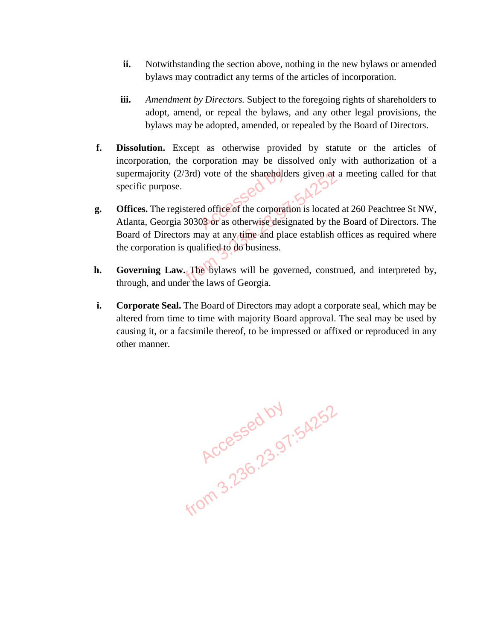- **ii.** Notwithstanding the section above, nothing in the new bylaws or amended bylaws may contradict any terms of the articles of incorporation.
- **iii.** *Amendment by Directors.* Subject to the foregoing rights of shareholders to adopt, amend, or repeal the bylaws, and any other legal provisions, the bylaws may be adopted, amended, or repealed by the Board of Directors.
- **f. Dissolution.** Except as otherwise provided by statute or the articles of incorporation, the corporation may be dissolved only with authorization of a specific purpose.
- supermajority (2/3rd) vote of the shareholders given at a meeting called for that specific purpose.<br> **Offices.** The registered office of the corporation is located at 260 Peachtree St NW, Atlanta, Georgia 30303 or as other **g. Offices.** The registered office of the corporation is located at 260 Peachtree St NW, Atlanta, Georgia 30303 or as otherwise designated by the Board of Directors. The Board of Directors may at any time and place establish offices as required where the corporation is qualified to do business. Frity (2/3rd) vote of the shareholders given at a<br>urpose.<br>
the registered office of the corporation is located<br>
eorgia 30303 or as otherwise designated by the<br>
Directors may at any time and place establish c<br>
ation is qual
- **h. Governing Law.** The bylaws will be governed, construed, and interpreted by, through, and under the laws of Georgia.
- **i. Corporate Seal.** The Board of Directors may adopt a corporate seal, which may be altered from time to time with majority Board approval. The seal may be used by causing it, or a facsimile thereof, to be impressed or affixed or reproduced in any other manner.

Accessed by 1.54252